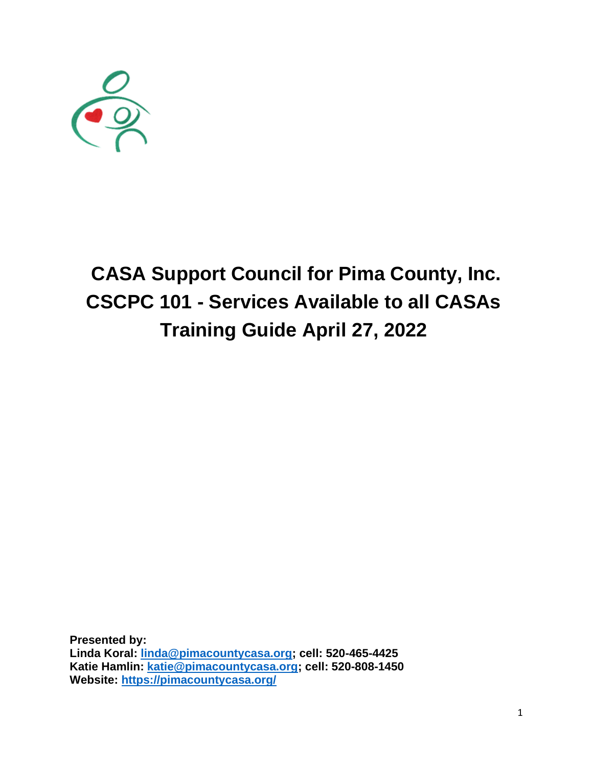

# **CASA Support Council for Pima County, Inc. CSCPC 101 - Services Available to all CASAs Training Guide April 27, 2022**

**Presented by: Linda Koral: [linda@pimacountycasa.org;](mailto:linda@pimacountycasa.org) cell: 520-465-4425 Katie Hamlin: [katie@pimacountycasa.org;](mailto:katie@pimacountycasa.org) cell: 520-808-1450 Website:<https://pimacountycasa.org/>**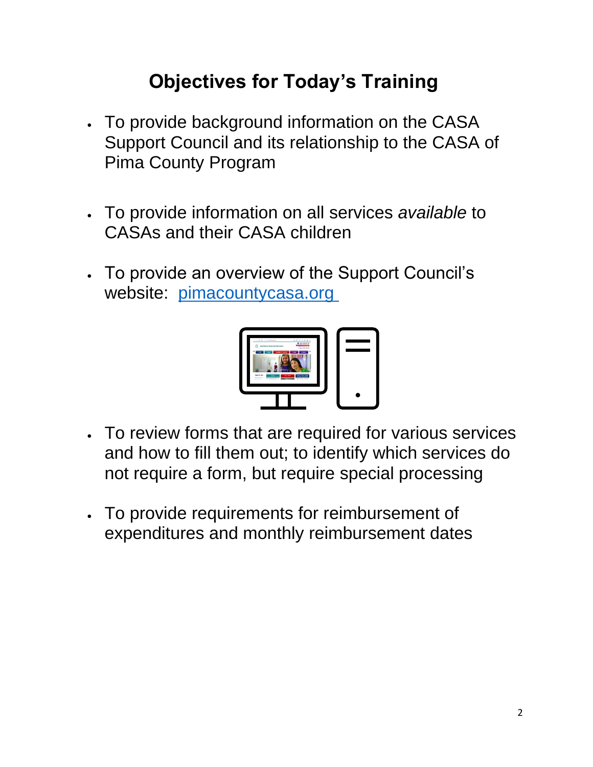# **Objectives for Today's Training**

- To provide background information on the CASA Support Council and its relationship to the CASA of Pima County Program
- To provide information on all services *available* to CASAs and their CASA children
- To provide an overview of the Support Council's website: [pimacountycasa.org](https://pimacountycasa.org/)



- To review forms that are required for various services and how to fill them out; to identify which services do not require a form, but require special processing
- To provide requirements for reimbursement of expenditures and monthly reimbursement dates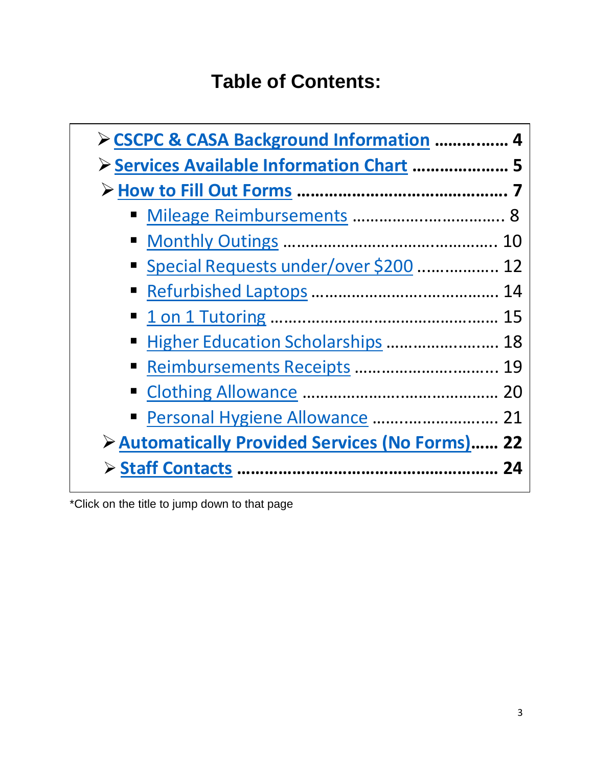# **Table of Contents:**

<span id="page-2-1"></span><span id="page-2-0"></span>

| > CSCPC & CASA Background Information  4        |  |
|-------------------------------------------------|--|
| Services Available Information Chart  5         |  |
|                                                 |  |
|                                                 |  |
|                                                 |  |
| ■ Special Requests under/over \$200  12         |  |
|                                                 |  |
|                                                 |  |
| ■ Higher Education Scholarships  18             |  |
| Reimbursements Receipts  19                     |  |
|                                                 |  |
| Personal Hygiene Allowance  21                  |  |
| > Automatically Provided Services (No Forms) 22 |  |
|                                                 |  |

\*Click on the title to jump down to that page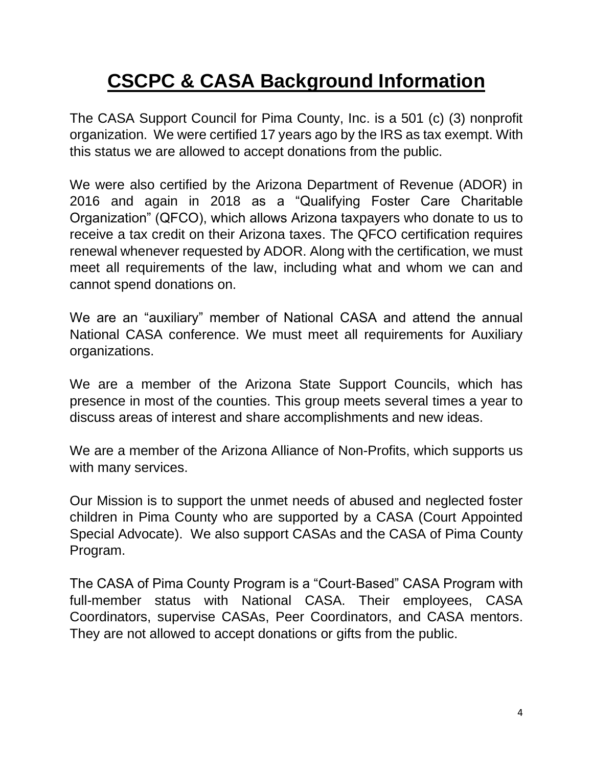# <span id="page-3-0"></span>**CSCPC & CASA Background Information**

The CASA Support Council for Pima County, Inc. is a 501 (c) (3) nonprofit organization. We were certified 17 years ago by the IRS as tax exempt. With this status we are allowed to accept donations from the public.

We were also certified by the Arizona Department of Revenue (ADOR) in 2016 and again in 2018 as a "Qualifying Foster Care Charitable Organization" (QFCO), which allows Arizona taxpayers who donate to us to receive a tax credit on their Arizona taxes. The QFCO certification requires renewal whenever requested by ADOR. Along with the certification, we must meet all requirements of the law, including what and whom we can and cannot spend donations on.

We are an "auxiliary" member of National CASA and attend the annual National CASA conference. We must meet all requirements for Auxiliary organizations.

We are a member of the Arizona State Support Councils, which has presence in most of the counties. This group meets several times a year to discuss areas of interest and share accomplishments and new ideas.

We are a member of the Arizona Alliance of Non-Profits, which supports us with many services.

Our Mission is to support the unmet needs of abused and neglected foster children in Pima County who are supported by a CASA (Court Appointed Special Advocate). We also support CASAs and the CASA of Pima County Program.

The CASA of Pima County Program is a "Court-Based" CASA Program with full-member status with National CASA. Their employees, CASA Coordinators, supervise CASAs, Peer Coordinators, and CASA mentors. They are not allowed to accept donations or gifts from the public.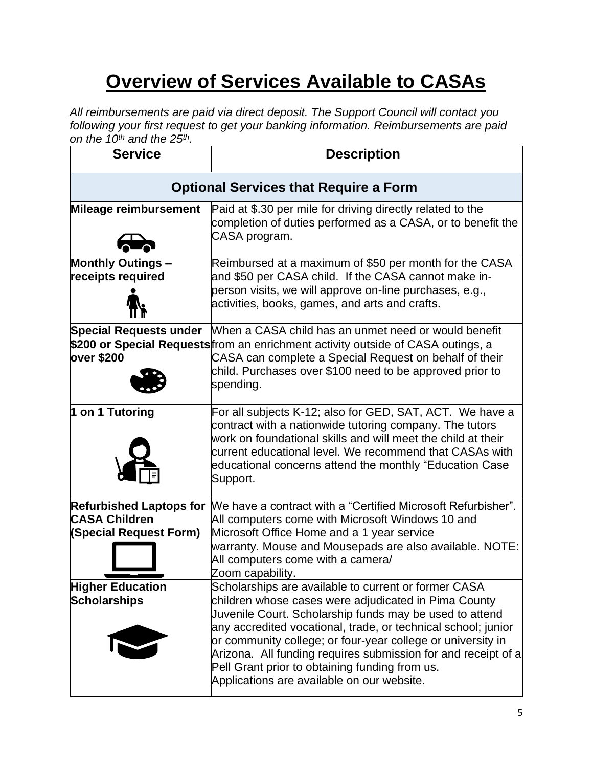# **Overview of Services Available to CASAs**

*All reimbursements are paid via direct deposit. The Support Council will contact you following your first request to get your banking information. Reimbursements are paid on the 10th and the 25th .*

| <b>Service</b>                                                                   | <b>Description</b>                                                                                                                                                                                                                                                                                                                                                                                                                                                       |  |  |
|----------------------------------------------------------------------------------|--------------------------------------------------------------------------------------------------------------------------------------------------------------------------------------------------------------------------------------------------------------------------------------------------------------------------------------------------------------------------------------------------------------------------------------------------------------------------|--|--|
| <b>Optional Services that Require a Form</b>                                     |                                                                                                                                                                                                                                                                                                                                                                                                                                                                          |  |  |
| Mileage reimbursement                                                            | Paid at \$.30 per mile for driving directly related to the<br>completion of duties performed as a CASA, or to benefit the<br>CASA program.                                                                                                                                                                                                                                                                                                                               |  |  |
| <b>Monthly Outings -</b><br>receipts required                                    | Reimbursed at a maximum of \$50 per month for the CASA<br>and \$50 per CASA child. If the CASA cannot make in-<br>person visits, we will approve on-line purchases, e.g.,<br>activities, books, games, and arts and crafts.                                                                                                                                                                                                                                              |  |  |
| <b>Special Requests under</b><br>over \$200                                      | When a CASA child has an unmet need or would benefit<br>\$200 or Special Requests from an enrichment activity outside of CASA outings, a<br>CASA can complete a Special Request on behalf of their<br>child. Purchases over \$100 need to be approved prior to<br>spending.                                                                                                                                                                                              |  |  |
| 1 on 1 Tutoring                                                                  | For all subjects K-12; also for GED, SAT, ACT. We have a<br>contract with a nationwide tutoring company. The tutors<br>work on foundational skills and will meet the child at their<br>current educational level. We recommend that CASAs with<br>educational concerns attend the monthly "Education Case<br>Support.                                                                                                                                                    |  |  |
| <b>Refurbished Laptops for</b><br><b>CASA Children</b><br>(Special Request Form) | We have a contract with a "Certified Microsoft Refurbisher".<br>All computers come with Microsoft Windows 10 and<br>Microsoft Office Home and a 1 year service<br>warranty. Mouse and Mousepads are also available. NOTE:<br>All computers come with a camera/<br>Zoom capability.                                                                                                                                                                                       |  |  |
| <b>Higher Education</b><br><b>Scholarships</b>                                   | Scholarships are available to current or former CASA<br>children whose cases were adjudicated in Pima County<br>Juvenile Court. Scholarship funds may be used to attend<br>any accredited vocational, trade, or technical school; junior<br>or community college; or four-year college or university in<br>Arizona. All funding requires submission for and receipt of a<br>Pell Grant prior to obtaining funding from us.<br>Applications are available on our website. |  |  |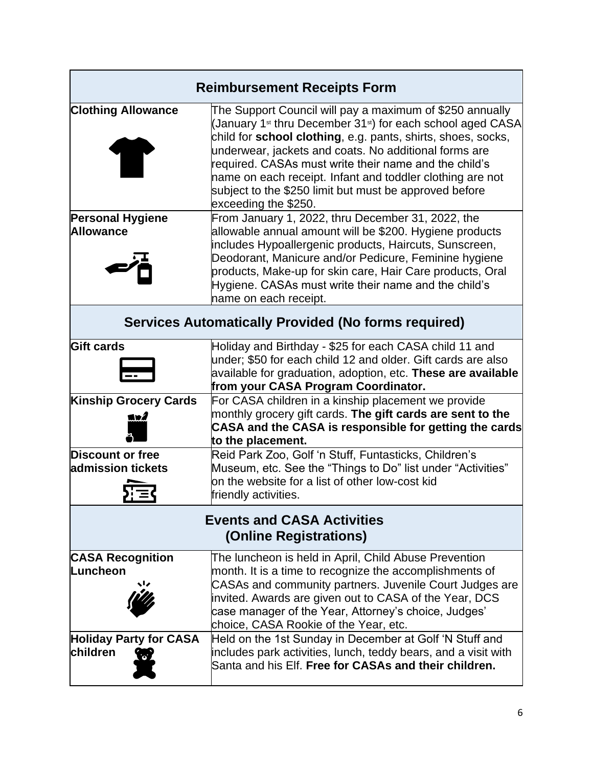|                                                             | <b>Reimbursement Receipts Form</b>                                                                                                                                                                                                                                                                                                                                                                                                                                               |  |  |  |
|-------------------------------------------------------------|----------------------------------------------------------------------------------------------------------------------------------------------------------------------------------------------------------------------------------------------------------------------------------------------------------------------------------------------------------------------------------------------------------------------------------------------------------------------------------|--|--|--|
| <b>Clothing Allowance</b>                                   | The Support Council will pay a maximum of \$250 annually<br>(January 1 <sup>st</sup> thru December 31 <sup>st</sup> ) for each school aged CASA<br>child for school clothing, e.g. pants, shirts, shoes, socks,<br>underwear, jackets and coats. No additional forms are<br>required. CASAs must write their name and the child's<br>name on each receipt. Infant and toddler clothing are not<br>subject to the \$250 limit but must be approved before<br>exceeding the \$250. |  |  |  |
| <b>Personal Hygiene</b><br><b>Allowance</b>                 | From January 1, 2022, thru December 31, 2022, the<br>allowable annual amount will be \$200. Hygiene products<br>includes Hypoallergenic products, Haircuts, Sunscreen,<br>Deodorant, Manicure and/or Pedicure, Feminine hygiene<br>products, Make-up for skin care, Hair Care products, Oral<br>Hygiene. CASAs must write their name and the child's<br>name on each receipt.                                                                                                    |  |  |  |
|                                                             | <b>Services Automatically Provided (No forms required)</b>                                                                                                                                                                                                                                                                                                                                                                                                                       |  |  |  |
| <b>Gift cards</b>                                           | Holiday and Birthday - \$25 for each CASA child 11 and<br>under; \$50 for each child 12 and older. Gift cards are also<br>available for graduation, adoption, etc. These are available<br>from your CASA Program Coordinator.                                                                                                                                                                                                                                                    |  |  |  |
| <b>Kinship Grocery Cards</b><br>lvź                         | For CASA children in a kinship placement we provide<br>monthly grocery gift cards. The gift cards are sent to the<br>CASA and the CASA is responsible for getting the cards<br>to the placement.                                                                                                                                                                                                                                                                                 |  |  |  |
| <b>Discount or free</b><br>admission tickets                | Reid Park Zoo, Golf 'n Stuff, Funtasticks, Children's<br>Museum, etc. See the "Things to Do" list under "Activities"<br>on the website for a list of other low-cost kid<br>friendly activities.                                                                                                                                                                                                                                                                                  |  |  |  |
| <b>Events and CASA Activities</b><br>(Online Registrations) |                                                                                                                                                                                                                                                                                                                                                                                                                                                                                  |  |  |  |
| <b>CASA Recognition</b><br>Luncheon                         | The luncheon is held in April, Child Abuse Prevention<br>month. It is a time to recognize the accomplishments of<br>CASAs and community partners. Juvenile Court Judges are<br>invited. Awards are given out to CASA of the Year, DCS<br>case manager of the Year, Attorney's choice, Judges'<br>choice, CASA Rookie of the Year, etc.                                                                                                                                           |  |  |  |
| <b>Holiday Party for CASA</b><br>children<br>W              | Held on the 1st Sunday in December at Golf 'N Stuff and<br>includes park activities, lunch, teddy bears, and a visit with<br>Santa and his Elf. Free for CASAs and their children.                                                                                                                                                                                                                                                                                               |  |  |  |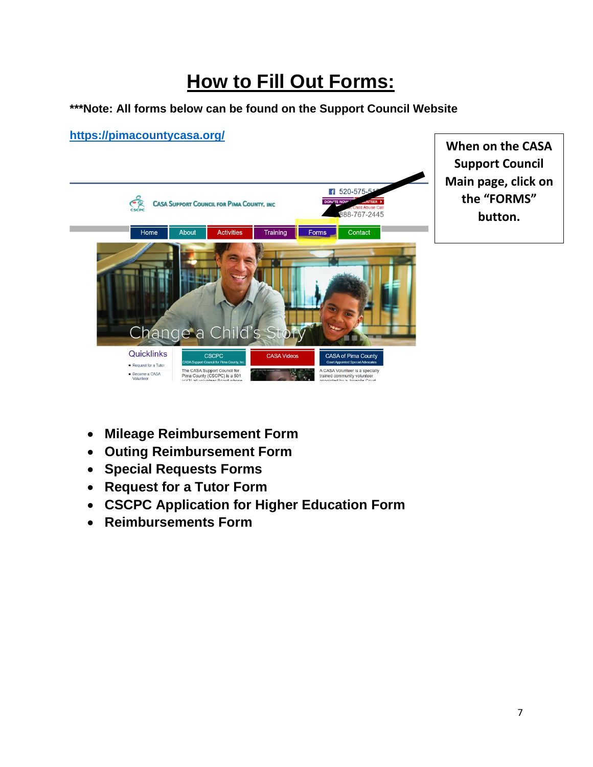# **How to Fill Out Forms:**

#### **\*\*\*Note: All forms below can be found on the Support Council Website**



- **Mileage Reimbursement Form**
- **Outing Reimbursement Form**
- **Special Requests Forms**
- **Request for a Tutor Form**
- **CSCPC Application for Higher Education Form**
- **Reimbursements Form**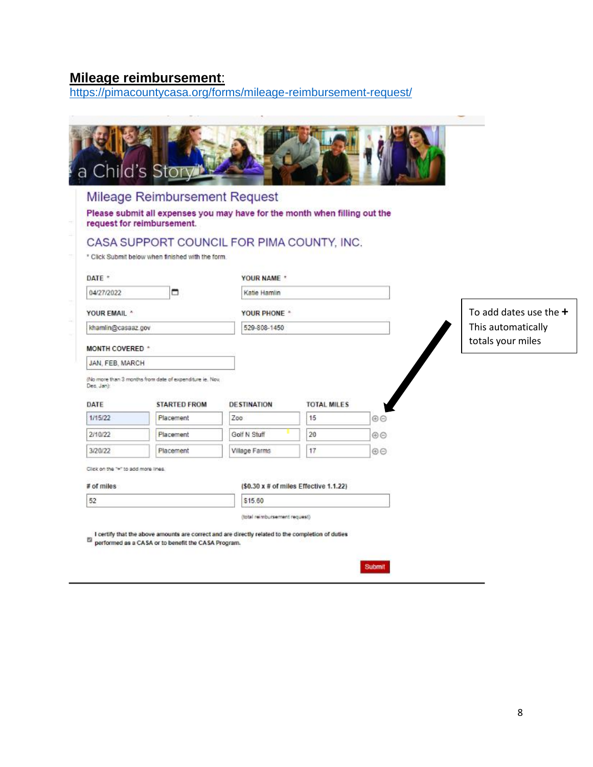#### <span id="page-7-0"></span>**Mileage reimbursement**:

<https://pimacountycasa.org/forms/mileage-reimbursement-request/>

|                                     | a Child's Story"                                                                                            |                    |                                        |                    |                          |
|-------------------------------------|-------------------------------------------------------------------------------------------------------------|--------------------|----------------------------------------|--------------------|--------------------------|
|                                     | Mileage Reimbursement Request<br>Please submit all expenses you may have for the month when filling out the |                    |                                        |                    |                          |
|                                     | request for reimbursement.                                                                                  |                    |                                        |                    |                          |
|                                     | CASA SUPPORT COUNCIL FOR PIMA COUNTY, INC.                                                                  |                    |                                        |                    |                          |
|                                     | * Click Submit below when finished with the form                                                            |                    |                                        |                    |                          |
| DATE *                              |                                                                                                             | YOUR NAME *        |                                        |                    |                          |
| 04/27/2022                          | ▭                                                                                                           | Katie Hamlin       |                                        |                    |                          |
| YOUR EMAIL *                        |                                                                                                             | YOUR PHONE *       |                                        |                    | To add dates use the $+$ |
| khamlin@casaaz.gov                  |                                                                                                             | 529-808-1450       |                                        | This automatically |                          |
| MONTH COVERED *                     |                                                                                                             |                    |                                        |                    | totals your miles        |
| JAN, FEB, MARCH                     |                                                                                                             |                    |                                        |                    |                          |
| Dec. Jank                           | (No more than 3 months from date of expenditure ie. Nov.                                                    |                    |                                        |                    |                          |
| DATE                                | <b>STARTED FROM</b>                                                                                         | <b>DESTINATION</b> | <b>TOTAL MILES</b>                     |                    |                          |
| 1/15/22                             | Placement                                                                                                   | Zoo                | 15                                     | $\oplus$           |                          |
| 2/10/22                             | Placement                                                                                                   | Golf N Stuff       | 20                                     | $\circledcirc$     |                          |
| 3/20/22                             | Placement                                                                                                   | Village Farms      | 17                                     | $\oplus$           |                          |
| Click on the "+" to add more lines. |                                                                                                             |                    |                                        |                    |                          |
| # of miles                          |                                                                                                             |                    | (\$0.30 x # of miles Effective 1.1.22) |                    |                          |
| 52                                  |                                                                                                             | \$15.60            |                                        |                    |                          |
|                                     |                                                                                                             |                    |                                        |                    |                          |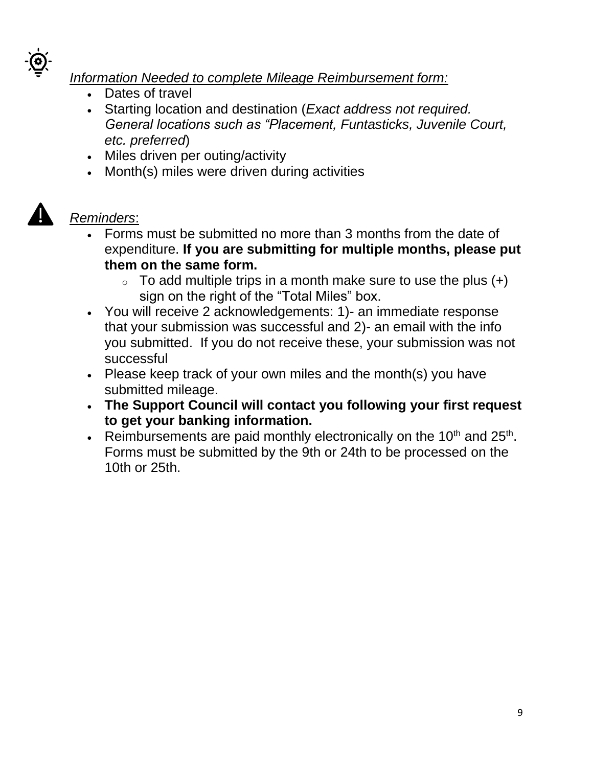

*Information Needed to complete Mileage Reimbursement form:*

- Dates of travel
- Starting location and destination (*Exact address not required. General locations such as "Placement, Funtasticks, Juvenile Court, etc. preferred*)
- Miles driven per outing/activity
- Month(s) miles were driven during activities



- Forms must be submitted no more than 3 months from the date of expenditure. **If you are submitting for multiple months, please put them on the same form.**
	- $\circ$  To add multiple trips in a month make sure to use the plus  $(+)$ sign on the right of the "Total Miles" box.
- You will receive 2 acknowledgements: 1)- an immediate response that your submission was successful and 2)- an email with the info you submitted. If you do not receive these, your submission was not successful
- Please keep track of your own miles and the month(s) you have submitted mileage.
- **The Support Council will contact you following your first request to get your banking information.**
- Extembur sements are paid monthly electronically on the 10<sup>th</sup> and 25<sup>th</sup>. Forms must be submitted by the 9th or 24th to be processed on the 10th or 25th.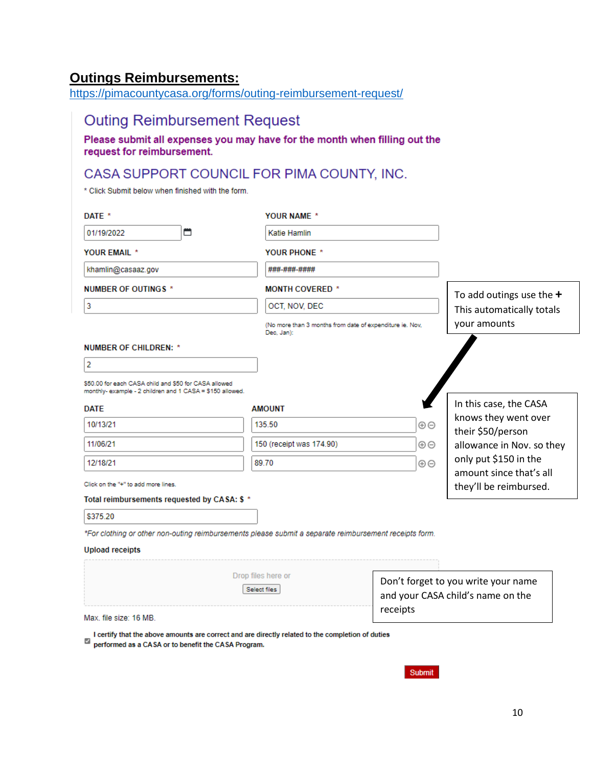#### <span id="page-9-0"></span>**Outings Reimbursements:**

<https://pimacountycasa.org/forms/outing-reimbursement-request/>

#### **Outing Reimbursement Request**

Please submit all expenses you may have for the month when filling out the request for reimbursement.

# CASA SUPPORT COUNCIL FOR PIMA COUNTY, INC.

\* Click Submit below when finished with the form.

| DATE *                                                                                                            | YOUR NAME *                                                            |          |                                                                          |
|-------------------------------------------------------------------------------------------------------------------|------------------------------------------------------------------------|----------|--------------------------------------------------------------------------|
| ₩<br>01/19/2022                                                                                                   | Katie Hamlin                                                           |          |                                                                          |
| <b>YOUR EMAIL *</b>                                                                                               | <b>YOUR PHONE *</b>                                                    |          |                                                                          |
| khamlin@casaaz.gov                                                                                                | ###-###-####                                                           |          |                                                                          |
| <b>NUMBER OF OUTINGS *</b>                                                                                        | <b>MONTH COVERED *</b>                                                 |          | To add outings use the $+$                                               |
| 3                                                                                                                 | OCT, NOV, DEC                                                          |          | This automatically totals                                                |
|                                                                                                                   | (No more than 3 months from date of expenditure ie. Nov.<br>Dec, Jan): |          | your amounts                                                             |
| <b>NUMBER OF CHILDREN: *</b>                                                                                      |                                                                        |          |                                                                          |
| 2                                                                                                                 |                                                                        |          |                                                                          |
| \$50.00 for each CASA child and \$50 for CASA allowed<br>monthly-example - 2 children and 1 CASA = \$150 allowed. |                                                                        |          |                                                                          |
| <b>DATE</b>                                                                                                       | <b>AMOUNT</b>                                                          |          | In this case, the CASA                                                   |
| 10/13/21                                                                                                          | 135.50                                                                 | $\oplus$ | knows they went over<br>their \$50/person                                |
| 11/06/21                                                                                                          | 150 (receipt was 174.90)                                               | $\oplus$ | allowance in Nov. so they                                                |
| 12/18/21                                                                                                          | 89.70<br>$\oplus$                                                      |          | only put \$150 in the                                                    |
| Click on the "+" to add more lines.                                                                               |                                                                        |          | amount since that's all<br>they'll be reimbursed.                        |
| Total reimbursements requested by CASA: \$ *                                                                      |                                                                        |          |                                                                          |
| \$375.20                                                                                                          |                                                                        |          |                                                                          |
| *For clothing or other non-outing reimbursements please submit a separate reimbursement receipts form.            |                                                                        |          |                                                                          |
| <b>Upload receipts</b>                                                                                            |                                                                        |          |                                                                          |
|                                                                                                                   | Drop files here or                                                     |          |                                                                          |
|                                                                                                                   | Select files                                                           | receipts | Don't forget to you write your name<br>and your CASA child's name on the |

Max. file size: 16 MB.

I certify that the above amounts are correct and are directly related to the completion of duties performed as a CASA or to benefit the CASA Program.

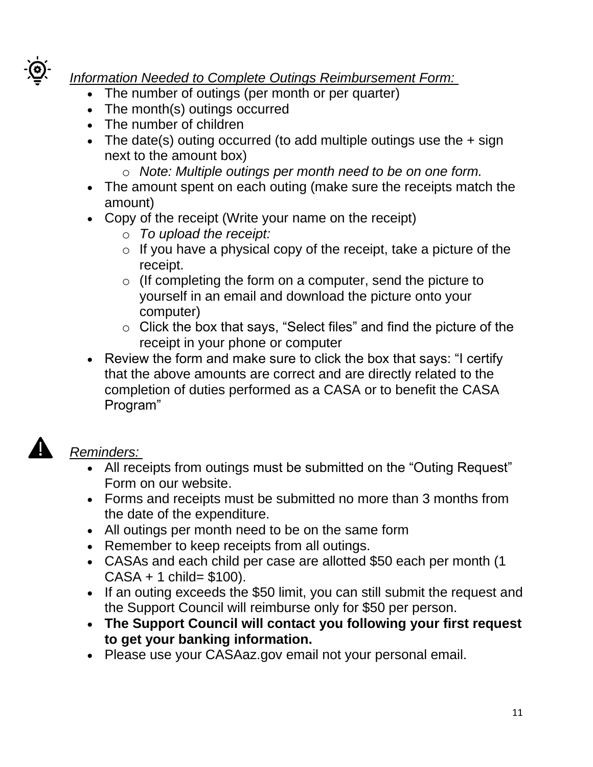

# *Information Needed to Complete Outings Reimbursement Form:*

- The number of outings (per month or per quarter)
- The month(s) outings occurred
- The number of children
- The date(s) outing occurred (to add multiple outings use the  $+$  sign next to the amount box)
	- o *Note: Multiple outings per month need to be on one form.*
- The amount spent on each outing (make sure the receipts match the amount)
- Copy of the receipt (Write your name on the receipt)
	- o *To upload the receipt:*
	- $\circ$  If you have a physical copy of the receipt, take a picture of the receipt.
	- $\circ$  (If completing the form on a computer, send the picture to yourself in an email and download the picture onto your computer)
	- o Click the box that says, "Select files" and find the picture of the receipt in your phone or computer
- Review the form and make sure to click the box that says: "I certify that the above amounts are correct and are directly related to the completion of duties performed as a CASA or to benefit the CASA Program"



- All receipts from outings must be submitted on the "Outing Request" Form on our website.
- Forms and receipts must be submitted no more than 3 months from the date of the expenditure.
- All outings per month need to be on the same form
- Remember to keep receipts from all outings.
- CASAs and each child per case are allotted \$50 each per month (1  $CASA + 1$  child= \$100).
- If an outing exceeds the \$50 limit, you can still submit the request and the Support Council will reimburse only for \$50 per person.
- **The Support Council will contact you following your first request to get your banking information.**
- Please use your CASAaz.gov email not your personal email.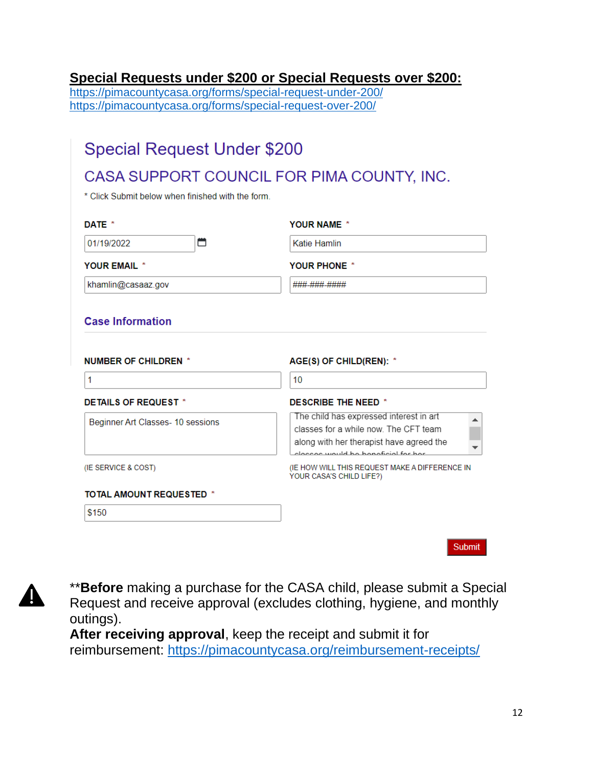#### <span id="page-11-0"></span>**Special Requests under \$200 or Special Requests over \$200:**

<https://pimacountycasa.org/forms/special-request-under-200/> <https://pimacountycasa.org/forms/special-request-over-200/>

# **Special Request Under \$200**

# CASA SUPPORT COUNCIL FOR PIMA COUNTY, INC.

\* Click Submit below when finished with the form.

| DATE *                            | <b>YOUR NAME *</b>                                                                                                                                                  |
|-----------------------------------|---------------------------------------------------------------------------------------------------------------------------------------------------------------------|
| ⇔<br>01/19/2022                   | Katie Hamlin                                                                                                                                                        |
| <b>YOUR EMAIL *</b>               | <b>YOUR PHONE *</b>                                                                                                                                                 |
| khamlin@casaaz.gov                | <b>###_###_####</b>                                                                                                                                                 |
| <b>Case Information</b>           |                                                                                                                                                                     |
| <b>NUMBER OF CHILDREN *</b>       | AGE(S) OF CHILD(REN): *                                                                                                                                             |
| 1                                 | 10                                                                                                                                                                  |
| DETAILS OF REQUEST *              | <b>DESCRIBE THE NEED *</b>                                                                                                                                          |
| Beginner Art Classes- 10 sessions | The child has expressed interest in art<br>classes for a while now. The CFT team<br>along with her therapist have agreed the<br>closses would be beneficial for her |
| (IE SERVICE & COST)               | (IE HOW WILL THIS REQUEST MAKE A DIFFERENCE IN<br>YOUR CASA'S CHILD LIFE?)                                                                                          |
| <b>TOTAL AMOUNT REQUESTED *</b>   |                                                                                                                                                                     |
| \$150                             |                                                                                                                                                                     |
|                                   |                                                                                                                                                                     |



\*\***Before** making a purchase for the CASA child, please submit a Special Request and receive approval (excludes clothing, hygiene, and monthly outings).

**After receiving approval**, keep the receipt and submit it for reimbursement: <https://pimacountycasa.org/reimbursement-receipts/>

Submit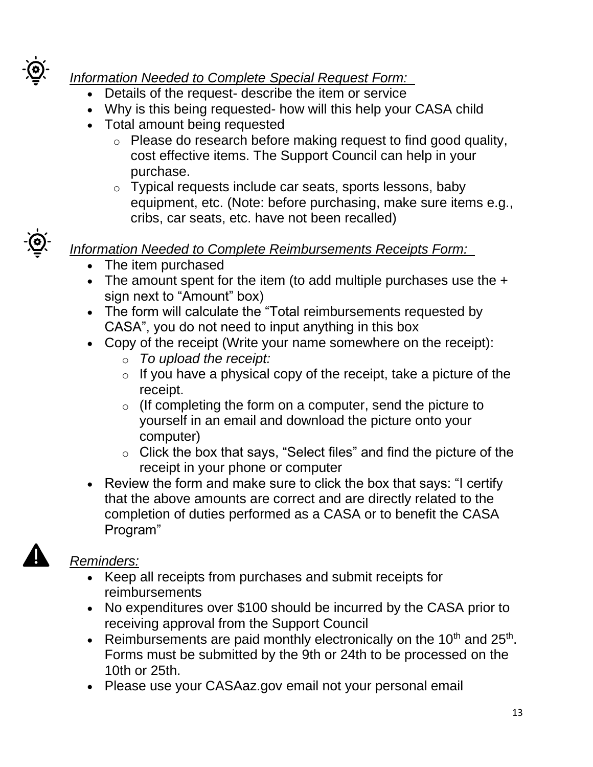

# *Information Needed to Complete Special Request Form:*

- Details of the request- describe the item or service
- Why is this being requested- how will this help your CASA child
- Total amount being requested
	- o Please do research before making request to find good quality, cost effective items. The Support Council can help in your purchase.
	- o Typical requests include car seats, sports lessons, baby equipment, etc. (Note: before purchasing, make sure items e.g., cribs, car seats, etc. have not been recalled)

# *Information Needed to Complete Reimbursements Receipts Form:*

- The item purchased
- The amount spent for the item (to add multiple purchases use the + sign next to "Amount" box)
- The form will calculate the "Total reimbursements requested by CASA", you do not need to input anything in this box
- Copy of the receipt (Write your name somewhere on the receipt):
	- o *To upload the receipt:*
	- $\circ$  If you have a physical copy of the receipt, take a picture of the receipt.
	- $\circ$  (If completing the form on a computer, send the picture to yourself in an email and download the picture onto your computer)
	- $\circ$  Click the box that says, "Select files" and find the picture of the receipt in your phone or computer
- Review the form and make sure to click the box that says: "I certify that the above amounts are correct and are directly related to the completion of duties performed as a CASA or to benefit the CASA Program"

- Keep all receipts from purchases and submit receipts for reimbursements
- No expenditures over \$100 should be incurred by the CASA prior to receiving approval from the Support Council
- Reimbursements are paid monthly electronically on the 10<sup>th</sup> and 25<sup>th</sup>. Forms must be submitted by the 9th or 24th to be processed on the 10th or 25th.
- Please use your CASAaz.gov email not your personal email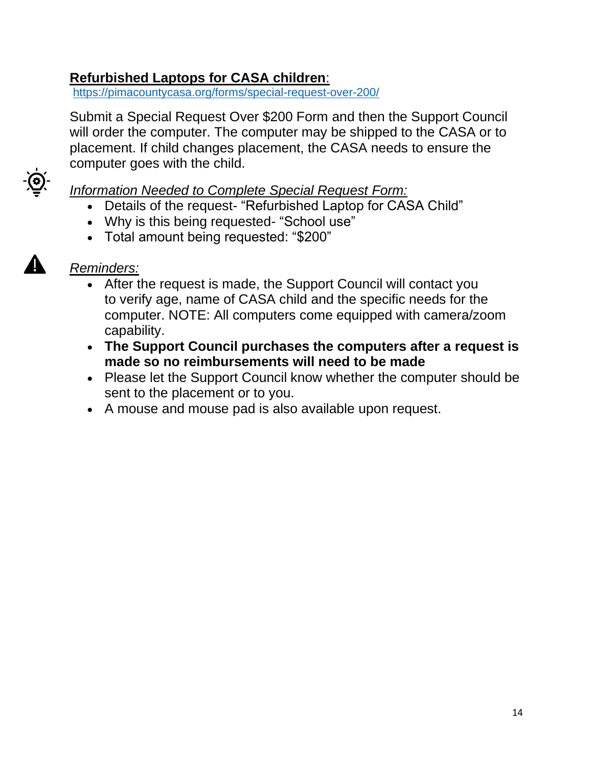#### <span id="page-13-0"></span>**Refurbished Laptops for CASA children**:

<https://pimacountycasa.org/forms/special-request-over-200/>

Submit a Special Request Over \$200 Form and then the Support Council will order the computer. The computer may be shipped to the CASA or to placement. If child changes placement, the CASA needs to ensure the computer goes with the child.



#### *Information Needed to Complete Special Request Form:*

- Details of the request- "Refurbished Laptop for CASA Child"
- Why is this being requested- "School use"
- Total amount being requested: "\$200"



- After the request is made, the Support Council will contact you to verify age, name of CASA child and the specific needs for the computer. NOTE: All computers come equipped with camera/zoom capability.
- **The Support Council purchases the computers after a request is made so no reimbursements will need to be made**
- Please let the Support Council know whether the computer should be sent to the placement or to you.
- A mouse and mouse pad is also available upon request.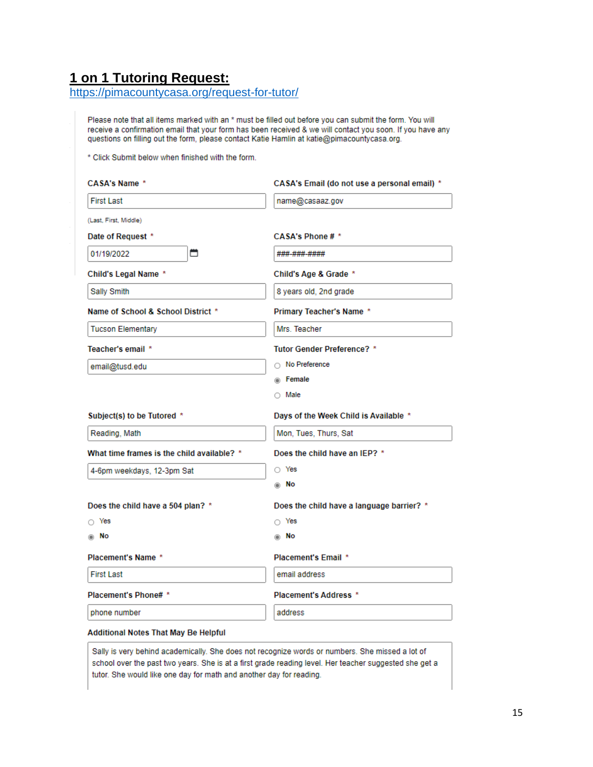## <span id="page-14-0"></span>**1 on 1 Tutoring Request:**

<https://pimacountycasa.org/request-for-tutor/>

Please note that all items marked with an \* must be filled out before you can submit the form. You will receive a confirmation email that your form has been received & we will contact you soon. If you have any questions on filling out the form, please contact Katie Hamlin at katie@pimacountycasa.org.

\* Click Submit below when finished with the form.

| <b>CASA's Name *</b>                       | CASA's Email (do not use a personal email) * |
|--------------------------------------------|----------------------------------------------|
| <b>First Last</b>                          | name@casaaz.gov                              |
| (Last, First, Middle)                      |                                              |
| Date of Request *                          | CASA's Phone # *                             |
| ₩<br>01/19/2022                            | ###-###-####                                 |
| Child's Legal Name *                       | Child's Age & Grade *                        |
| Sally Smith                                | 8 years old, 2nd grade                       |
| Name of School & School District *         | Primary Teacher's Name *                     |
| <b>Tucson Elementary</b>                   | Mrs. Teacher                                 |
| Teacher's email *                          | Tutor Gender Preference? *                   |
| email@tusd.edu                             | No Preference                                |
|                                            | <b>E</b> Female                              |
|                                            | $\cap$ Male                                  |
| Subject(s) to be Tutored *                 | Days of the Week Child is Available *        |
|                                            |                                              |
| Reading, Math                              | Mon, Tues, Thurs, Sat                        |
| What time frames is the child available? * | Does the child have an IEP? *                |
| 4-6pm weekdays, 12-3pm Sat                 | O Yes                                        |
|                                            | ⊚ No                                         |
| Does the child have a 504 plan? *          | Does the child have a language barrier? *    |
| ⊙ Yes                                      | $\cap$ Yes                                   |
| ⊚ No                                       | No<br>⋒                                      |
| Placement's Name *                         | Placement's Email *                          |
| <b>First Last</b>                          | email address                                |
| Placement's Phone# *                       | Placement's Address *                        |
| phone number                               | address                                      |

Sally is very behind academically. She does not recognize words or numbers. She missed a lot of school over the past two years. She is at a first grade reading level. Her teacher suggested she get a tutor. She would like one day for math and another day for reading.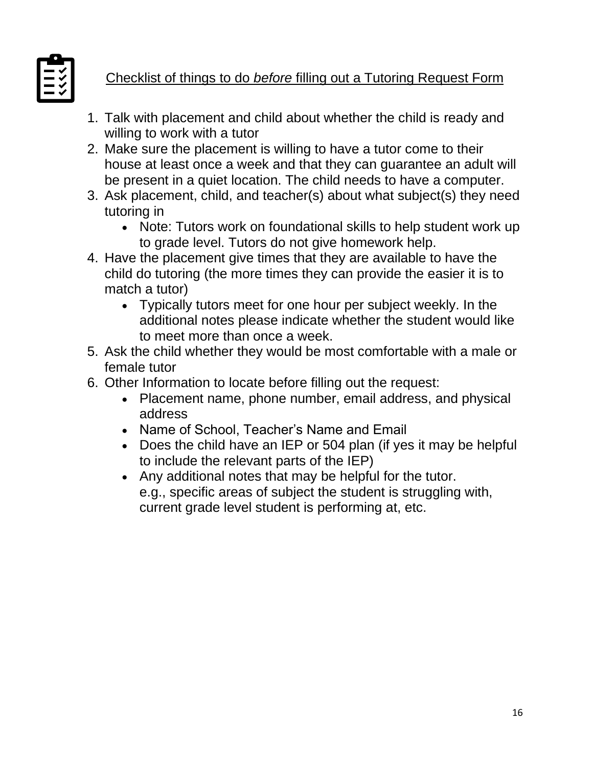

# Checklist of things to do *before* filling out a Tutoring Request Form

- 1. Talk with placement and child about whether the child is ready and willing to work with a tutor
- 2. Make sure the placement is willing to have a tutor come to their house at least once a week and that they can guarantee an adult will be present in a quiet location. The child needs to have a computer.
- 3. Ask placement, child, and teacher(s) about what subject(s) they need tutoring in
	- Note: Tutors work on foundational skills to help student work up to grade level. Tutors do not give homework help.
- 4. Have the placement give times that they are available to have the child do tutoring (the more times they can provide the easier it is to match a tutor)
	- Typically tutors meet for one hour per subject weekly. In the additional notes please indicate whether the student would like to meet more than once a week.
- 5. Ask the child whether they would be most comfortable with a male or female tutor
- 6. Other Information to locate before filling out the request:
	- Placement name, phone number, email address, and physical address
	- Name of School, Teacher's Name and Email
	- Does the child have an IEP or 504 plan (if yes it may be helpful to include the relevant parts of the IEP)
	- Any additional notes that may be helpful for the tutor. e.g., specific areas of subject the student is struggling with, current grade level student is performing at, etc.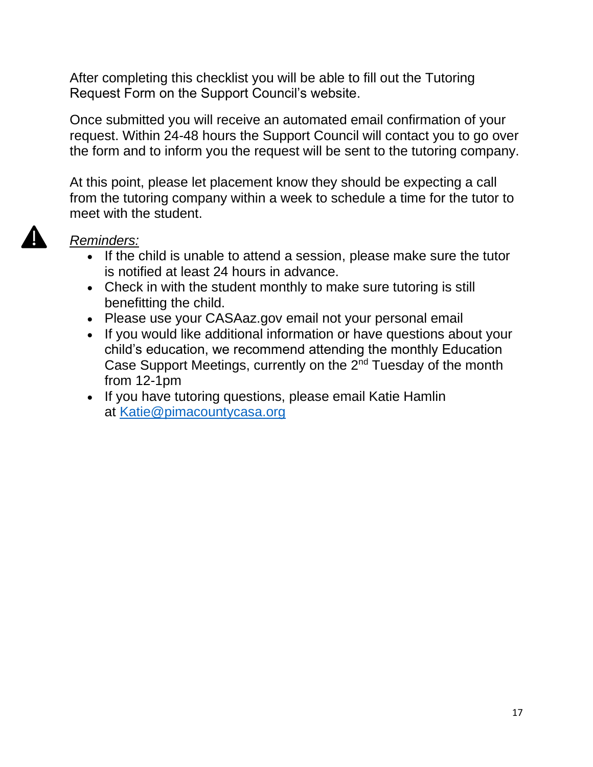After completing this checklist you will be able to fill out the Tutoring Request Form on the Support Council's website.

Once submitted you will receive an automated email confirmation of your request. Within 24-48 hours the Support Council will contact you to go over the form and to inform you the request will be sent to the tutoring company.

At this point, please let placement know they should be expecting a call from the tutoring company within a week to schedule a time for the tutor to meet with the student.

- If the child is unable to attend a session, please make sure the tutor is notified at least 24 hours in advance.
- Check in with the student monthly to make sure tutoring is still benefitting the child.
- Please use your CASAaz.gov email not your personal email
- If you would like additional information or have questions about your child's education, we recommend attending the monthly Education Case Support Meetings, currently on the 2<sup>nd</sup> Tuesday of the month from 12-1pm
- If you have tutoring questions, please email Katie Hamlin at [Katie@pimacountycasa.org](mailto:Katie@pimacountycasa.or)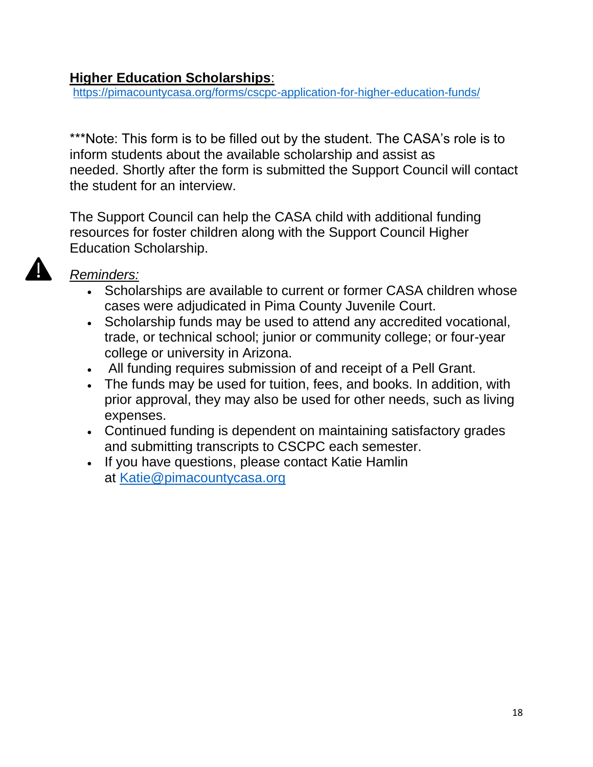#### <span id="page-17-0"></span>**Higher Education Scholarships**:

<https://pimacountycasa.org/forms/cscpc-application-for-higher-education-funds/>

\*\*\*Note: This form is to be filled out by the student. The CASA's role is to inform students about the available scholarship and assist as needed. Shortly after the form is submitted the Support Council will contact the student for an interview.

The Support Council can help the CASA child with additional funding resources for foster children along with the Support Council Higher Education Scholarship.

- Scholarships are available to current or former CASA children whose cases were adjudicated in Pima County Juvenile Court.
- Scholarship funds may be used to attend any accredited vocational, trade, or technical school; junior or community college; or four-year college or university in Arizona.
- All funding requires submission of and receipt of a Pell Grant.
- The funds may be used for tuition, fees, and books. In addition, with prior approval, they may also be used for other needs, such as living expenses.
- Continued funding is dependent on maintaining satisfactory grades and submitting transcripts to CSCPC each semester.
- If you have questions, please contact Katie Hamlin at [Katie@pimacountycasa.org](mailto:Katie@pimacountycasa.org)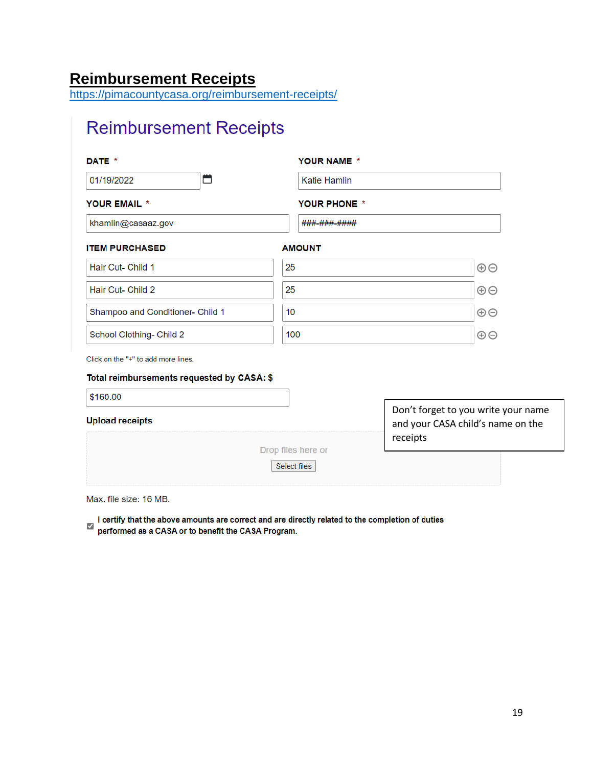# <span id="page-18-0"></span>**Reimbursement Receipts**

<https://pimacountycasa.org/reimbursement-receipts/>

# **Reimbursement Receipts**

| DATE *                           | YOUR NAME *         |          |
|----------------------------------|---------------------|----------|
| ⇔<br>01/19/2022                  | <b>Katie Hamlin</b> |          |
| YOUR EMAIL *                     | YOUR PHONE *        |          |
| khamlin@casaaz.gov               | ###-###-####        |          |
| <b>ITEM PURCHASED</b>            | <b>AMOUNT</b>       |          |
| Hair Cut- Child 1                | 25                  | $\oplus$ |
| Hair Cut- Child 2                | 25                  | $\oplus$ |
| Shampoo and Conditioner- Child 1 | 10                  | $\oplus$ |
| School Clothing- Child 2         | 100                 | $\oplus$ |

Click on the "+" to add more lines.

#### Total reimbursements requested by CASA: \$

| \$160.00               |                    |                                                                                      |  |
|------------------------|--------------------|--------------------------------------------------------------------------------------|--|
| <b>Upload receipts</b> |                    | Don't forget to you write your name<br>and your CASA child's name on the<br>receipts |  |
|                        | Drop files here or |                                                                                      |  |
|                        | Select files       |                                                                                      |  |

Max. file size: 16 MB.

I certify that the above amounts are correct and are directly related to the completion of duties<br>performed as a CASA or to benefit the CASA Program.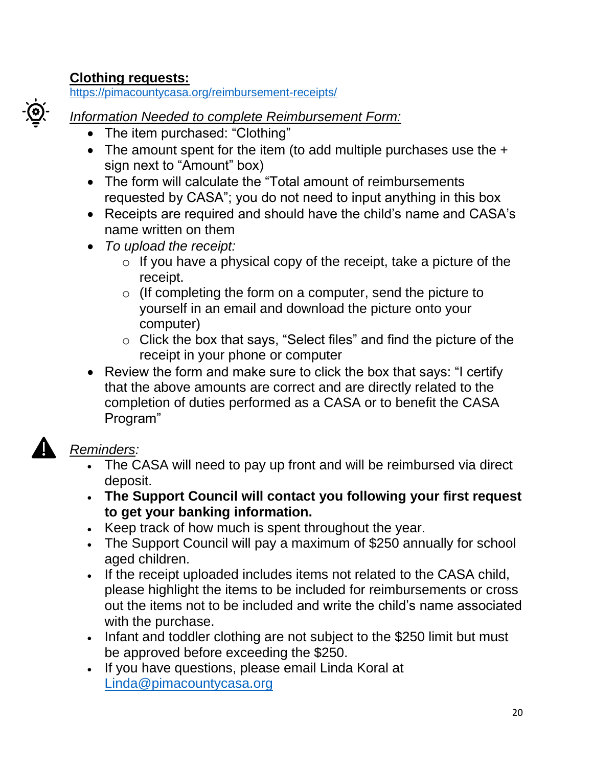#### <span id="page-19-0"></span>**Clothing requests:**

<https://pimacountycasa.org/reimbursement-receipts/>



#### *Information Needed to complete Reimbursement Form:*

- The item purchased: "Clothing"
- The amount spent for the item (to add multiple purchases use the  $+$ sign next to "Amount" box)
- The form will calculate the "Total amount of reimbursements requested by CASA"; you do not need to input anything in this box
- Receipts are required and should have the child's name and CASA's name written on them
- *To upload the receipt:*
	- $\circ$  If you have a physical copy of the receipt, take a picture of the receipt.
	- o (If completing the form on a computer, send the picture to yourself in an email and download the picture onto your computer)
	- o Click the box that says, "Select files" and find the picture of the receipt in your phone or computer
- Review the form and make sure to click the box that says: "I certify that the above amounts are correct and are directly related to the completion of duties performed as a CASA or to benefit the CASA Program"

- The CASA will need to pay up front and will be reimbursed via direct deposit.
- **The Support Council will contact you following your first request to get your banking information.**
- Keep track of how much is spent throughout the year.
- The Support Council will pay a maximum of \$250 annually for school aged children.
- If the receipt uploaded includes items not related to the CASA child, please highlight the items to be included for reimbursements or cross out the items not to be included and write the child's name associated with the purchase.
- Infant and toddler clothing are not subject to the \$250 limit but must be approved before exceeding the \$250.
- If you have questions, please email Linda Koral at [Linda@pimacountycasa.org](mailto:Linda@pimacountycasa.org)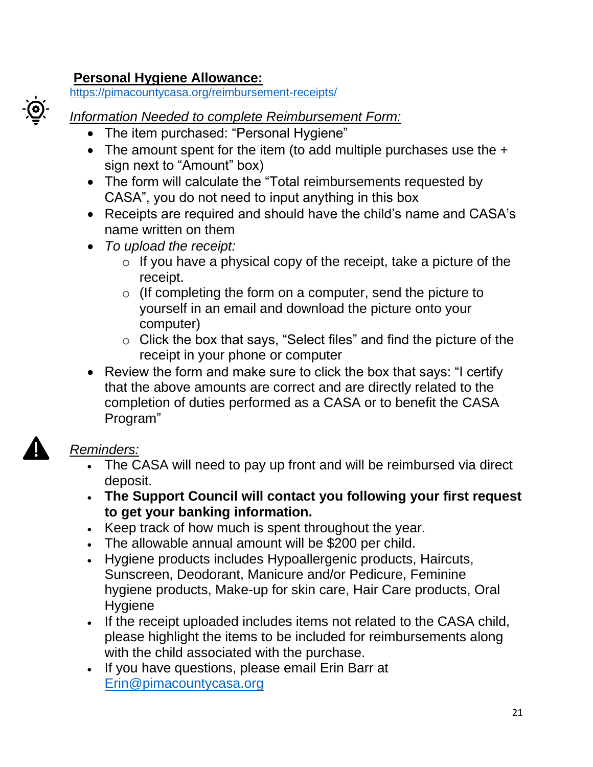## <span id="page-20-0"></span>**Personal Hygiene Allowance:**

<https://pimacountycasa.org/reimbursement-receipts/>

#### *Information Needed to complete Reimbursement Form:*

- The item purchased: "Personal Hygiene"
- The amount spent for the item (to add multiple purchases use the  $+$ sign next to "Amount" box)
- The form will calculate the "Total reimbursements requested by CASA", you do not need to input anything in this box
- Receipts are required and should have the child's name and CASA's name written on them
- *To upload the receipt:*
	- $\circ$  If you have a physical copy of the receipt, take a picture of the receipt.
	- o (If completing the form on a computer, send the picture to yourself in an email and download the picture onto your computer)
	- o Click the box that says, "Select files" and find the picture of the receipt in your phone or computer
- Review the form and make sure to click the box that says: "I certify that the above amounts are correct and are directly related to the completion of duties performed as a CASA or to benefit the CASA Program"

- The CASA will need to pay up front and will be reimbursed via direct deposit.
- **The Support Council will contact you following your first request to get your banking information.**
- Keep track of how much is spent throughout the year.
- The allowable annual amount will be \$200 per child.
- Hygiene products includes Hypoallergenic products, Haircuts, Sunscreen, Deodorant, Manicure and/or Pedicure, Feminine hygiene products, Make-up for skin care, Hair Care products, Oral **Hygiene**
- If the receipt uploaded includes items not related to the CASA child, please highlight the items to be included for reimbursements along with the child associated with the purchase.
- <span id="page-20-1"></span>• If you have questions, please email Erin Barr at [Erin@pimacountycasa.org](mailto:Erin@pimacountycasa.org)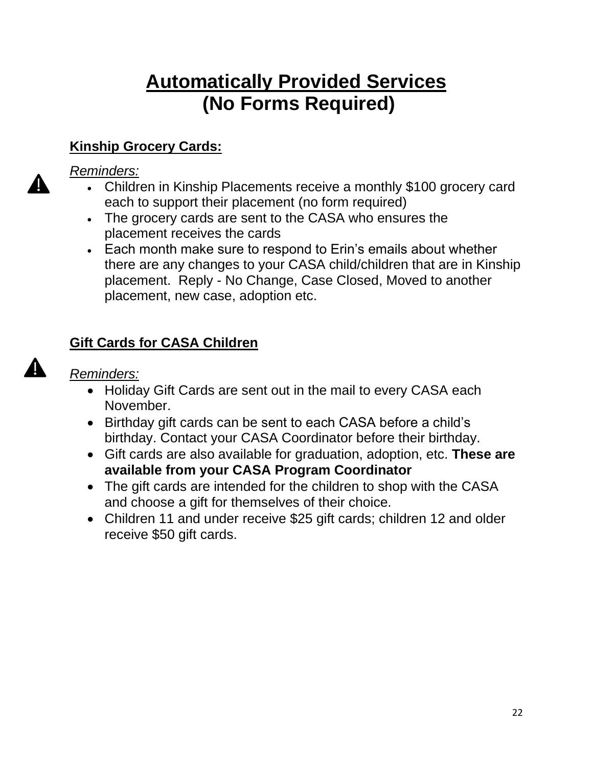# **Automatically Provided Services (No Forms Required)**

# **Kinship Grocery Cards:**

#### *Reminders:*

- Children in Kinship Placements receive a monthly \$100 grocery card each to support their placement (no form required)
- The grocery cards are sent to the CASA who ensures the placement receives the cards
- Each month make sure to respond to Erin's emails about whether there are any changes to your CASA child/children that are in Kinship placement. Reply - No Change, Case Closed, Moved to another placement, new case, adoption etc.

## **Gift Cards for CASA Children**

*Reminders:* 

A

- Holiday Gift Cards are sent out in the mail to every CASA each November.
- Birthday gift cards can be sent to each CASA before a child's birthday. Contact your CASA Coordinator before their birthday.
- Gift cards are also available for graduation, adoption, etc. **These are available from your CASA Program Coordinator**
- The gift cards are intended for the children to shop with the CASA and choose a gift for themselves of their choice.
- Children 11 and under receive \$25 gift cards; children 12 and older receive \$50 gift cards.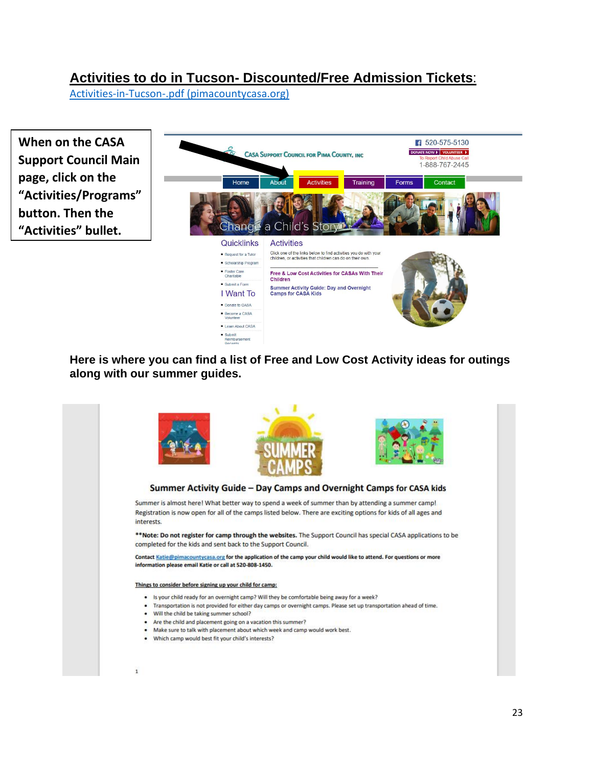#### **Activities to do in Tucson- Discounted/Free Admission Tickets**:

[Activities-in-Tucson-.pdf \(pimacountycasa.org\)](https://pimacountycasa.org/wp-content/uploads/2022/01/Activities-in-Tucson-.pdf)

**When on the CASA Support Council Main page, click on the "Activities/Programs" button. Then the "Activities" bullet.** 



**Here is where you can find a list of Free and Low Cost Activity ideas for outings along with our summer guides.** 

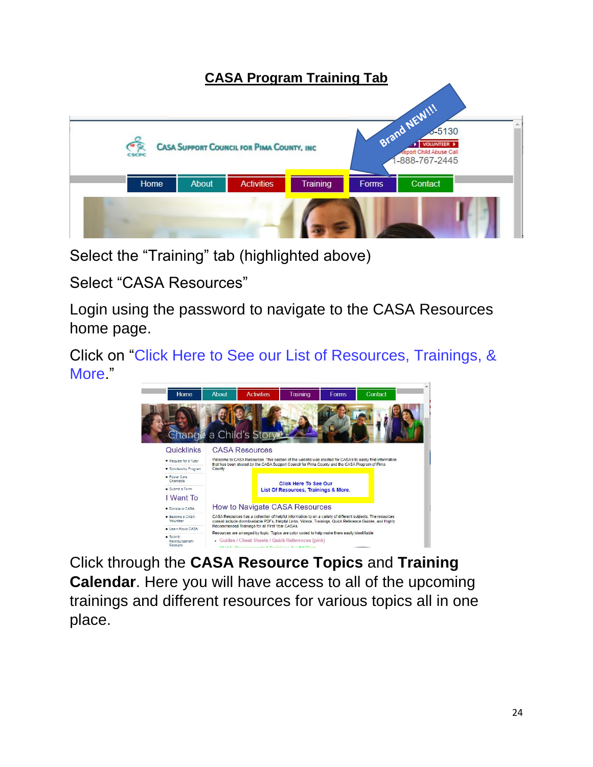#### <span id="page-23-0"></span>**CASA Program Training Tab** Brand NEW !!!  $-5130$ VOLUNTEER P **CASA SUPPORT COUNCIL FOR PIMA COUNTY, INC.** port Child Abuse Call -888-767-2445 Home Contact About **Activities** Training Forms

Select the "Training" tab (highlighted above)

Select "CASA Resources"

Login using the password to navigate to the CASA Resources home page.

Click on "Click Here to See our List of Resources, Trainings, & More."



Click through the **CASA Resource Topics** and **Training Calendar**. Here you will have access to all of the upcoming trainings and different resources for various topics all in one place.